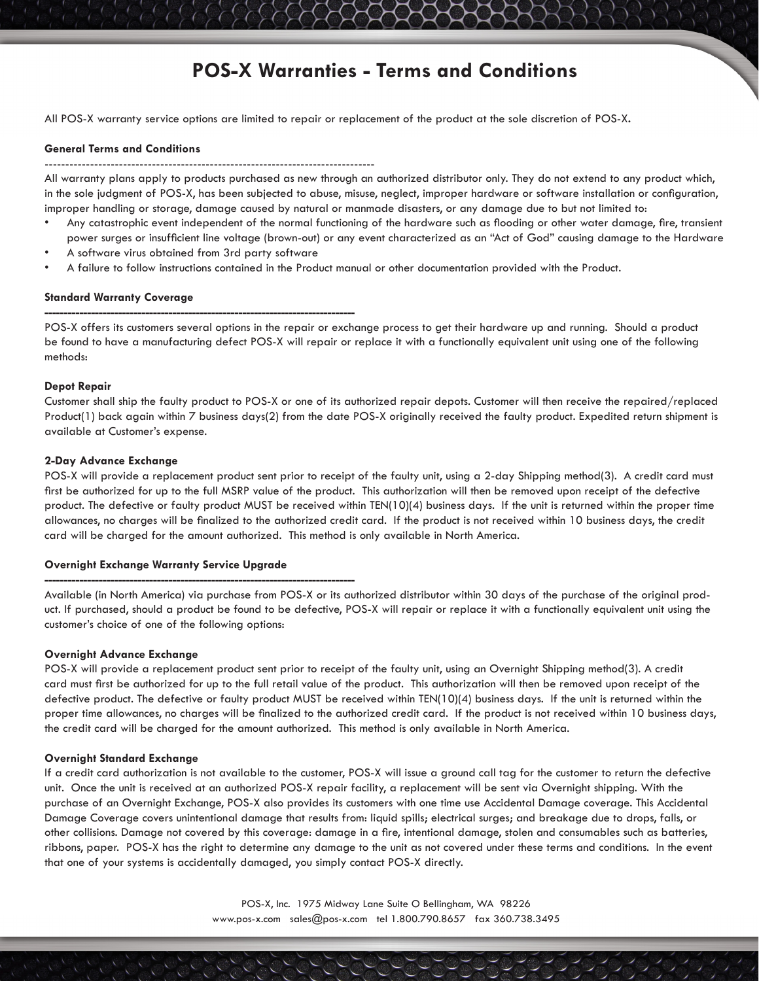# **POS-X Warranties - Terms and Conditions**

All POS-X warranty service options are limited to repair or replacement of the product at the sole discretion of POS-X**.** 

### **General Terms and Conditions**

--------------------------------------------------------------------------------

All warranty plans apply to products purchased as new through an authorized distributor only. They do not extend to any product which, in the sole judgment of POS-X, has been subjected to abuse, misuse, neglect, improper hardware or software installation or configuration, improper handling or storage, damage caused by natural or manmade disasters, or any damage due to but not limited to:

- Any catastrophic event independent of the normal functioning of the hardware such as flooding or other water damage, fire, transient power surges or insufficient line voltage (brown-out) or any event characterized as an "Act of God" causing damage to the Hardware
- A software virus obtained from 3rd party software

**--------------------------------------------------------------------------------**

• A failure to follow instructions contained in the Product manual or other documentation provided with the Product.

#### **Standard Warranty Coverage**

POS-X offers its customers several options in the repair or exchange process to get their hardware up and running. Should a product be found to have a manufacturing defect POS-X will repair or replace it with a functionally equivalent unit using one of the following methods:

## **Depot Repair**

Customer shall ship the faulty product to POS-X or one of its authorized repair depots. Customer will then receive the repaired/replaced Product(1) back again within 7 business days(2) from the date POS-X originally received the faulty product. Expedited return shipment is available at Customer's expense.

#### **2-Day Advance Exchange**

POS-X will provide a replacement product sent prior to receipt of the faulty unit, using a 2-day Shipping method(3). A credit card must first be authorized for up to the full MSRP value of the product. This authorization will then be removed upon receipt of the defective product. The defective or faulty product MUST be received within TEN(10)(4) business days. If the unit is returned within the proper time allowances, no charges will be finalized to the authorized credit card. If the product is not received within 10 business days, the credit card will be charged for the amount authorized. This method is only available in North America.

#### **Overnight Exchange Warranty Service Upgrade**

**--------------------------------------------------------------------------------**

Available (in North America) via purchase from POS-X or its authorized distributor within 30 days of the purchase of the original product. If purchased, should a product be found to be defective, POS-X will repair or replace it with a functionally equivalent unit using the customer's choice of one of the following options:

## **Overnight Advance Exchange**

POS-X will provide a replacement product sent prior to receipt of the faulty unit, using an Overnight Shipping method(3). A credit card must first be authorized for up to the full retail value of the product. This authorization will then be removed upon receipt of the defective product. The defective or faulty product MUST be received within TEN(10)(4) business days. If the unit is returned within the proper time allowances, no charges will be finalized to the authorized credit card. If the product is not received within 10 business days, the credit card will be charged for the amount authorized. This method is only available in North America.

## **Overnight Standard Exchange**

If a credit card authorization is not available to the customer, POS-X will issue a ground call tag for the customer to return the defective unit. Once the unit is received at an authorized POS-X repair facility, a replacement will be sent via Overnight shipping. With the purchase of an Overnight Exchange, POS-X also provides its customers with one time use Accidental Damage coverage. This Accidental Damage Coverage covers unintentional damage that results from: liquid spills; electrical surges; and breakage due to drops, falls, or other collisions. Damage not covered by this coverage: damage in a fire, intentional damage, stolen and consumables such as batteries, ribbons, paper. POS-X has the right to determine any damage to the unit as not covered under these terms and conditions. In the event that one of your systems is accidentally damaged, you simply contact POS-X directly.

> POS-X, Inc. 1975 Midway Lane Suite O Bellingham, WA 98226 www.pos-x.com sales@pos-x.com tel 1.800.790.8657 fax 360.738.3495